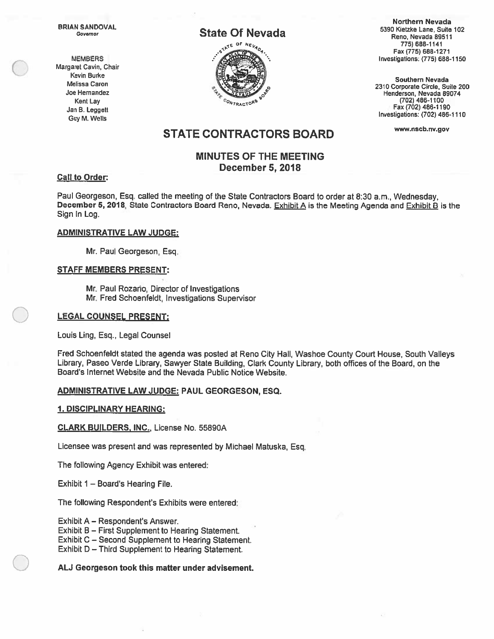**BRIAN SANDOVAL** Governor

**MEMBERS** Margaret Cavin, Chair Kevin Burke Melissa Caron Joe Hernandez Kent Lay Jan B. Leggett Guy M. Wells

# **State Of Nevada**



**Northern Nevada** 5390 Kietzke Lane, Suite 102 Reno, Nevada 89511 775) 688-1141 Fax (775) 688-1271 Investigations: (775) 688-1150

Southern Nevada 2310 Corporate Circle, Suite 200 Henderson, Nevada 89074 (702) 486-1100 Fax (702) 486-1190 Investigations: (702) 486-1110

www.nscb.nv.gov

# **STATE CONTRACTORS BOARD**

# **MINUTES OF THE MEETING December 5, 2018**

## **Call to Order:**

Paul Georgeson, Esq. called the meeting of the State Contractors Board to order at 8:30 a.m., Wednesday, December 5, 2018, State Contractors Board Reno, Nevada. Exhibit A is the Meeting Agenda and Exhibit B is the Sign In Log.

### **ADMINISTRATIVE LAW JUDGE:**

Mr. Paul Georgeson, Esq.

### <u>STAFF MEMBERS PRESENT:</u>

Mr. Paul Rozario, Director of Investigations Mr. Fred Schoenfeldt, Investigations Supervisor

### **LEGAL COUNSEL PRESENT:**

Louis Ling, Esq., Legal Counsel

Fred Schoenfeldt stated the agenda was posted at Reno City Hall, Washoe County Court House, South Valleys Library, Paseo Verde Library, Sawyer State Building, Clark County Library, both offices of the Board, on the Board's Internet Website and the Nevada Public Notice Website.

## ADMINISTRATIVE LAW JUDGE: PAUL GEORGESON, ESQ.

#### <u>1. DISCIPLINARY HEARING:</u>

### **CLARK BUILDERS, INC., License No. 55890A**

Licensee was present and was represented by Michael Matuska, Esq.

The following Agency Exhibit was entered:

Exhibit 1 - Board's Hearing File.

The following Respondent's Exhibits were entered:

Exhibit A – Respondent's Answer.

Exhibit B – First Supplement to Hearing Statement.

Exhibit C - Second Supplement to Hearing Statement.

Exhibit D - Third Supplement to Hearing Statement.

## ALJ Georgeson took this matter under advisement.